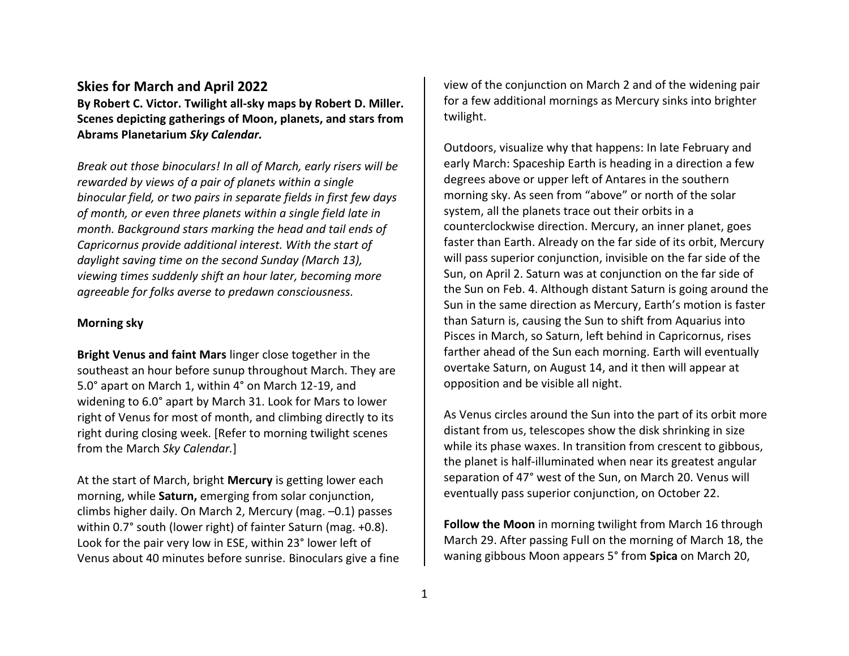## **Skies for March and April 2022**

**By Robert C. Victor. Twilight all-sky maps by Robert D. Miller. Scenes depicting gatherings of Moon, planets, and stars from Abrams Planetarium** *Sky Calendar.*

*Break out those binoculars! In all of March, early risers will be rewarded by views of a pair of planets within a single binocular field, or two pairs in separate fields in first few days of month, or even three planets within a single field late in month. Background stars marking the head and tail ends of Capricornus provide additional interest. With the start of daylight saving time on the second Sunday (March 13), viewing times suddenly shift an hour later, becoming more agreeable for folks averse to predawn consciousness.* 

## **Morning sky**

**Bright Venus and faint Mars** linger close together in the southeast an hour before sunup throughout March. They are 5.0° apart on March 1, within 4° on March 12-19, and widening to 6.0° apart by March 31. Look for Mars to lower right of Venus for most of month, and climbing directly to its right during closing week. [Refer to morning twilight scenes from the March *Sky Calendar.*]

At the start of March, bright **Mercury** is getting lower each morning, while **Saturn,** emerging from solar conjunction, climbs higher daily. On March 2, Mercury (mag. –0.1) passes within 0.7° south (lower right) of fainter Saturn (mag. +0.8). Look for the pair very low in ESE, within 23° lower left of Venus about 40 minutes before sunrise. Binoculars give a fine view of the conjunction on March 2 and of the widening pair for a few additional mornings as Mercury sinks into brighter twilight.

Outdoors, visualize why that happens: In late February and early March: Spaceship Earth is heading in a direction a few degrees above or upper left of Antares in the southern morning sky. As seen from "above" or north of the solar system, all the planets trace out their orbits in a counterclockwise direction. Mercury, an inner planet, goes faster than Earth. Already on the far side of its orbit, Mercury will pass superior conjunction, invisible on the far side of the Sun, on April 2. Saturn was at conjunction on the far side of the Sun on Feb. 4. Although distant Saturn is going around the Sun in the same direction as Mercury, Earth's motion is faster than Saturn is, causing the Sun to shift from Aquarius into Pisces in March, so Saturn, left behind in Capricornus, rises farther ahead of the Sun each morning. Earth will eventually overtake Saturn, on August 14, and it then will appear at opposition and be visible all night.

As Venus circles around the Sun into the part of its orbit more distant from us, telescopes show the disk shrinking in size while its phase waxes. In transition from crescent to gibbous, the planet is half-illuminated when near its greatest angular separation of 47° west of the Sun, on March 20. Venus will eventually pass superior conjunction, on October 22.

**Follow the Moon** in morning twilight from March 16 through March 29. After passing Full on the morning of March 18, the waning gibbous Moon appears 5° from **Spica** on March 20,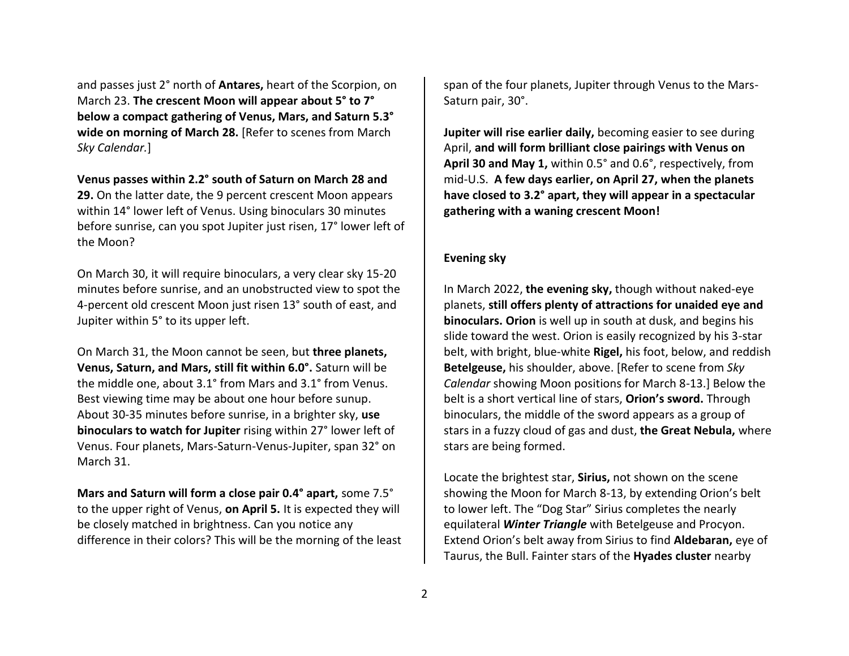and passes just 2° north of **Antares,** heart of the Scorpion, on March 23. **The crescent Moon will appear about 5° to 7° below a compact gathering of Venus, Mars, and Saturn 5.3° wide on morning of March 28.** [Refer to scenes from March *Sky Calendar.*]

## **Venus passes within 2.2° south of Saturn on March 28 and 29.** On the latter date, the 9 percent crescent Moon appears within 14° lower left of Venus. Using binoculars 30 minutes before sunrise, can you spot Jupiter just risen, 17° lower left of the Moon?

On March 30, it will require binoculars, a very clear sky 15-20 minutes before sunrise, and an unobstructed view to spot the 4-percent old crescent Moon just risen 13° south of east, and Jupiter within 5° to its upper left.

On March 31, the Moon cannot be seen, but **three planets, Venus, Saturn, and Mars, still fit within 6.0°.** Saturn will be the middle one, about 3.1° from Mars and 3.1° from Venus. Best viewing time may be about one hour before sunup. About 30-35 minutes before sunrise, in a brighter sky, **use binoculars to watch for Jupiter** rising within 27° lower left of Venus. Four planets, Mars-Saturn-Venus-Jupiter, span 32° on March 31.

**Mars and Saturn will form a close pair 0.4° apart,** some 7.5° to the upper right of Venus, **on April 5.** It is expected they will be closely matched in brightness. Can you notice any difference in their colors? This will be the morning of the least

span of the four planets, Jupiter through Venus to the Mars-Saturn pair, 30°.

**Jupiter will rise earlier daily,** becoming easier to see during April, **and will form brilliant close pairings with Venus on April 30 and May 1,** within 0.5° and 0.6°, respectively, from mid-U.S. **A few days earlier, on April 27, when the planets have closed to 3.2° apart, they will appear in a spectacular gathering with a waning crescent Moon!**

## **Evening sky**

In March 2022, **the evening sky,** though without naked-eye planets, **still offers plenty of attractions for unaided eye and binoculars. Orion** is well up in south at dusk, and begins his slide toward the west. Orion is easily recognized by his 3-star belt, with bright, blue-white **Rigel,** his foot, below, and reddish **Betelgeuse,** his shoulder, above. [Refer to scene from *Sky Calendar* showing Moon positions for March 8-13.] Below the belt is a short vertical line of stars, **Orion's sword.** Through binoculars, the middle of the sword appears as a group of stars in a fuzzy cloud of gas and dust, **the Great Nebula,** where stars are being formed.

Locate the brightest star, **Sirius,** not shown on the scene showing the Moon for March 8-13, by extending Orion's belt to lower left. The "Dog Star" Sirius completes the nearly equilateral *Winter Triangle* with Betelgeuse and Procyon. Extend Orion's belt away from Sirius to find **Aldebaran,** eye of Taurus, the Bull. Fainter stars of the **Hyades cluster** nearby